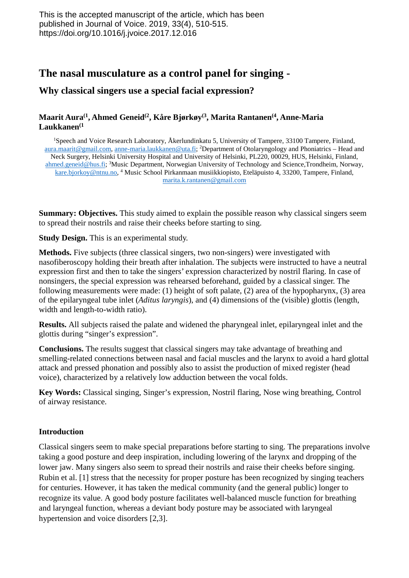# **The nasal musculature as a control panel for singing -**

# **Why classical singers use a special facial expression?**

### **Maarit Aura(1, Ahmed Geneid(2, Kåre Bjørkøy(3, Marita Rantanen(4, Anne-Maria Laukkanen(1**

<sup>1</sup>Speech and Voice Research Laboratory, Åkerlundinkatu 5, University of Tampere, 33100 Tampere, Finland, [aura.maarit@gmail.com,](mailto:aura.maarit@gmail.com) [anne-maria.laukkanen@uta.fi;](mailto:anne-maria.laukkanen@uta.fi) <sup>2</sup>Department of Otolaryngology and Phoniatrics - Head and Neck Surgery, Helsinki University Hospital and University of Helsinki, PL220, 00029, HUS, Helsinki, Finland, [ahmed.geneid@hus.fi;](mailto:ahmed.geneid@hus.fi) <sup>3</sup>Music Department, Norwegian University of Technology and Science,Trondheim, Norway, [kare.bjorkoy@ntnu.no,](mailto:kare.bjorkoy@ntnu.no) 4 Music School Pirkanmaan musiikkiopisto, Eteläpuisto 4, 33200, Tampere, Finland, [marita.k.rantanen@gmail.com](mailto:marita.k.rantanen@gmail.com)

**Summary: Objectives.** This study aimed to explain the possible reason why classical singers seem to spread their nostrils and raise their cheeks before starting to sing.

**Study Design.** This is an experimental study.

**Methods.** Five subjects (three classical singers, two non-singers) were investigated with nasofiberoscopy holding their breath after inhalation. The subjects were instructed to have a neutral expression first and then to take the singers' expression characterized by nostril flaring. In case of nonsingers, the special expression was rehearsed beforehand, guided by a classical singer. The following measurements were made: (1) height of soft palate, (2) area of the hypopharynx, (3) area of the epilaryngeal tube inlet (*Aditus laryngis*), and (4) dimensions of the (visible) glottis (length, width and length-to-width ratio).

**Results.** All subjects raised the palate and widened the pharyngeal inlet, epilaryngeal inlet and the glottis during "singer's expression".

**Conclusions.** The results suggest that classical singers may take advantage of breathing and smelling-related connections between nasal and facial muscles and the larynx to avoid a hard glottal attack and pressed phonation and possibly also to assist the production of mixed register (head voice), characterized by a relatively low adduction between the vocal folds.

**Key Words:** Classical singing, Singer's expression, Nostril flaring, Nose wing breathing, Control of airway resistance.

#### **Introduction**

Classical singers seem to make special preparations before starting to sing. The preparations involve taking a good posture and deep inspiration, including lowering of the larynx and dropping of the lower jaw. Many singers also seem to spread their nostrils and raise their cheeks before singing. Rubin et al. [1] stress that the necessity for proper posture has been recognized by singing teachers for centuries. However, it has taken the medical community (and the general public) longer to recognize its value. A good body posture facilitates well-balanced muscle function for breathing and laryngeal function, whereas a deviant body posture may be associated with laryngeal hypertension and voice disorders [2,3].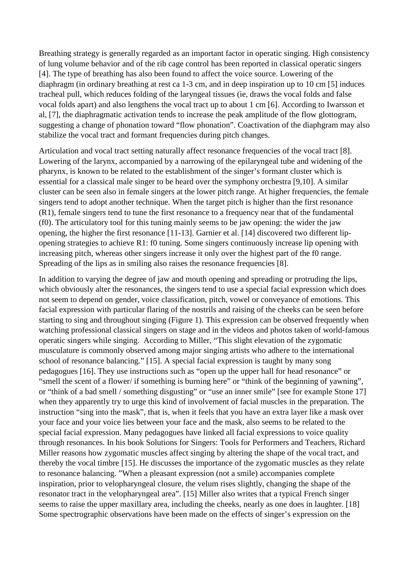Breathing strategy is generally regarded as an important factor in operatic singing. High consistency of lung volume behavior and of the rib cage control has been reported in classical operatic singers [4]. The type of breathing has also been found to affect the voice source. Lowering of the diaphragm (in ordinary breathing at rest ca 1-3 cm, and in deep inspiration up to 10 cm [5] induces tracheal pull, which reduces folding of the laryngeal tissues (ie, draws the vocal folds and false vocal folds apart) and also lengthens the vocal tract up to about 1 cm [6]. According to Iwarsson et al, [7], the diaphragmatic activation tends to increase the peak amplitude of the flow glottogram, suggesting a change of phonation toward "flow phonation". Coactivation of the diaphgram may also stabilize the vocal tract and formant frequencies during pitch changes.

Articulation and vocal tract setting naturally affect resonance frequencies of the vocal tract [8]. Lowering of the larynx, accompanied by a narrowing of the epilaryngeal tube and widening of the pharynx, is known to be related to the establishment of the singer's formant cluster which is essential for a classical male singer to be heard over the symphony orchestra [9,10]. A similar cluster can be seen also in female singers at the lower pitch range. At higher frequencies, the female singers tend to adopt another technique. When the target pitch is higher than the first resonance (R1), female singers tend to tune the first resonance to a frequency near that of the fundamental (f0). The articulatory tool for this tuning mainly seems to be jaw opening: the wider the jaw opening, the higher the first resonance [11-13]. Garnier et al. [14] discovered two different lipopening strategies to achieve R1: f0 tuning. Some singers continuously increase lip opening with increasing pitch, whereas other singers increase it only over the highest part of the f0 range. Spreading of the lips as in smiling also raises the resonance frequencies [8].

In addition to varying the degree of jaw and mouth opening and spreading or protruding the lips, which obviously alter the resonances, the singers tend to use a special facial expression which does not seem to depend on gender, voice classification, pitch, vowel or conveyance of emotions. This facial expression with particular flaring of the nostrils and raising of the cheeks can be seen before starting to sing and throughout singing (Figure 1). This expression can be observed frequently when watching professional classical singers on stage and in the videos and photos taken of world-famous operatic singers while singing. According to Miller, "This slight elevation of the zygomatic musculature is commonly observed among major singing artists who adhere to the international school of resonance balancing." [15]. A special facial expression is taught by many song pedagogues [16]. They use instructions such as "open up the upper hall for head resonance" or "smell the scent of a flower/ if something is burning here" or "think of the beginning of yawning", or "think of a bad smell / something disgusting" or "use an inner smile" [see for example Stone 17] when they apparently try to urge this kind of involvement of facial muscles in the preparation. The instruction "sing into the mask", that is, when it feels that you have an extra layer like a mask over your face and your voice lies between your face and the mask, also seems to be related to the special facial expression. Many pedagogues have linked all facial expressions to voice quality through resonances. In his book Solutions for Singers: Tools for Performers and Teachers, Richard Miller reasons how zygomatic muscles affect singing by altering the shape of the vocal tract, and thereby the vocal timbre [15]. He discusses the importance of the zygomatic muscles as they relate to resonance balancing. "When a pleasant expression (not a smile) accompanies complete inspiration, prior to velopharyngeal closure, the velum rises slightly, changing the shape of the resonator tract in the velopharyngeal area". [15] Miller also writes that a typical French singer seems to raise the upper maxillary area, including the cheeks, nearly as one does in laughter. [18] Some spectrographic observations have been made on the effects of singer's expression on the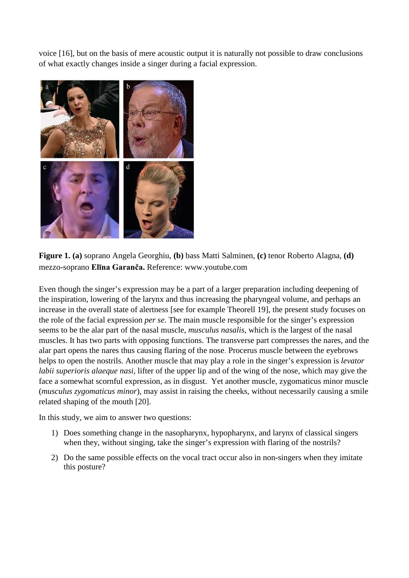voice [16], but on the basis of mere acoustic output it is naturally not possible to draw conclusions of what exactly changes inside a singer during a facial expression.



**Figure 1. (a)** soprano Angela Georghiu, **(b)** bass Matti Salminen, **(c)** tenor Roberto Alagna, **(d)** mezzo-soprano **Elīna Garanča.** Reference: www.youtube.com

Even though the singer's expression may be a part of a larger preparation including deepening of the inspiration, lowering of the larynx and thus increasing the pharyngeal volume, and perhaps an increase in the overall state of alertness [see for example Theorell 19], the present study focuses on the role of the facial expression *per se*. The main muscle responsible for the singer's expression seems to be the alar part of the nasal muscle, *musculus nasalis*, which is the largest of the nasal muscles. It has two parts with opposing functions. The transverse part compresses the nares, and the alar part opens the nares thus causing flaring of the nose. Procerus muscle between the eyebrows helps to open the nostrils. Another muscle that may play a role in the singer's expression is *levator labii superioris alaeque nasi*, lifter of the upper lip and of the wing of the nose, which may give the face a somewhat scornful expression, as in disgust. Yet another muscle, zygomaticus minor muscle (*musculus zygomaticus minor*), may assist in raising the cheeks, without necessarily causing a smile related shaping of the mouth [20].

In this study, we aim to answer two questions:

- 1) Does something change in the nasopharynx, hypopharynx, and larynx of classical singers when they, without singing, take the singer's expression with flaring of the nostrils?
- 2) Do the same possible effects on the vocal tract occur also in non-singers when they imitate this posture?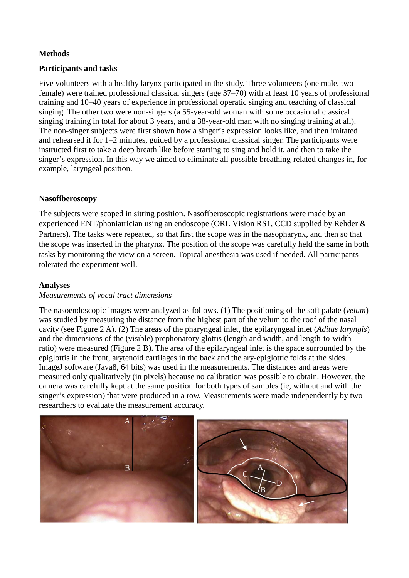### **Methods**

#### **Participants and tasks**

Five volunteers with a healthy larynx participated in the study. Three volunteers (one male, two female) were trained professional classical singers (age 37–70) with at least 10 years of professional training and 10–40 years of experience in professional operatic singing and teaching of classical singing. The other two were non-singers (a 55-year-old woman with some occasional classical singing training in total for about 3 years, and a 38-year-old man with no singing training at all). The non-singer subjects were first shown how a singer's expression looks like, and then imitated and rehearsed it for 1–2 minutes, guided by a professional classical singer. The participants were instructed first to take a deep breath like before starting to sing and hold it, and then to take the singer's expression. In this way we aimed to eliminate all possible breathing-related changes in, for example, laryngeal position.

# **Nasofiberoscopy**

The subjects were scoped in sitting position. Nasofiberoscopic registrations were made by an experienced ENT/phoniatrician using an endoscope (ORL Vision RS1, CCD supplied by Rehder & Partners). The tasks were repeated, so that first the scope was in the nasopharynx, and then so that the scope was inserted in the pharynx. The position of the scope was carefully held the same in both tasks by monitoring the view on a screen. Topical anesthesia was used if needed. All participants tolerated the experiment well.

### **Analyses**

#### *Measurements of vocal tract dimensions*

The nasoendoscopic images were analyzed as follows. (1) The positioning of the soft palate (*velum*) was studied by measuring the distance from the highest part of the velum to the roof of the nasal cavity (see Figure 2 A). (2) The areas of the pharyngeal inlet, the epilaryngeal inlet (*Aditus laryngis*) and the dimensions of the (visible) prephonatory glottis (length and width, and length-to-width ratio) were measured (Figure 2 B). The area of the epilaryngeal inlet is the space surrounded by the epiglottis in the front, arytenoid cartilages in the back and the ary-epiglottic folds at the sides. ImageJ software (Java8, 64 bits) was used in the measurements. The distances and areas were measured only qualitatively (in pixels) because no calibration was possible to obtain. However, the camera was carefully kept at the same position for both types of samples (ie, without and with the singer's expression) that were produced in a row. Measurements were made independently by two researchers to evaluate the measurement accuracy.

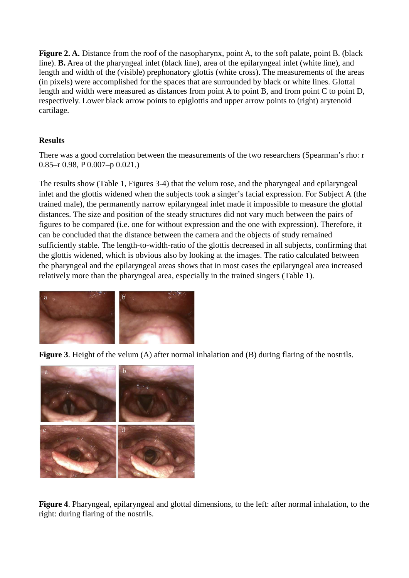**Figure 2. A.** Distance from the roof of the nasopharynx, point A, to the soft palate, point B. (black line). **B.** Area of the pharyngeal inlet (black line), area of the epilaryngeal inlet (white line), and length and width of the (visible) prephonatory glottis (white cross). The measurements of the areas (in pixels) were accomplished for the spaces that are surrounded by black or white lines. Glottal length and width were measured as distances from point A to point B, and from point C to point D, respectively. Lower black arrow points to epiglottis and upper arrow points to (right) arytenoid cartilage.

# **Results**

There was a good correlation between the measurements of the two researchers (Spearman's rho: r 0.85–r 0.98, P 0.007–p 0.021.)

The results show (Table 1, Figures 3-4) that the velum rose, and the pharyngeal and epilaryngeal inlet and the glottis widened when the subjects took a singer's facial expression. For Subject A (the trained male), the permanently narrow epilaryngeal inlet made it impossible to measure the glottal distances. The size and position of the steady structures did not vary much between the pairs of figures to be compared (i.e. one for without expression and the one with expression). Therefore, it can be concluded that the distance between the camera and the objects of study remained sufficiently stable. The length-to-width-ratio of the glottis decreased in all subjects, confirming that the glottis widened, which is obvious also by looking at the images. The ratio calculated between the pharyngeal and the epilaryngeal areas shows that in most cases the epilaryngeal area increased relatively more than the pharyngeal area, especially in the trained singers (Table 1).



**Figure 3**. Height of the velum (A) after normal inhalation and (B) during flaring of the nostrils.



**Figure 4**. Pharyngeal, epilaryngeal and glottal dimensions, to the left: after normal inhalation, to the right: during flaring of the nostrils.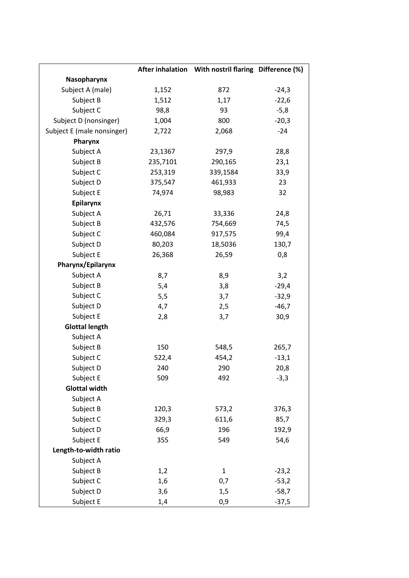|                            |          | After inhalation With nostril flaring Difference (%) |         |
|----------------------------|----------|------------------------------------------------------|---------|
| Nasopharynx                |          |                                                      |         |
| Subject A (male)           | 1,152    | 872                                                  | $-24,3$ |
| Subject B                  | 1,512    | 1,17                                                 | $-22,6$ |
| Subject C                  | 98,8     | 93                                                   | $-5,8$  |
| Subject D (nonsinger)      | 1,004    | 800                                                  | $-20,3$ |
| Subject E (male nonsinger) | 2,722    | 2,068                                                | $-24$   |
| Pharynx                    |          |                                                      |         |
| Subject A                  | 23,1367  | 297,9                                                | 28,8    |
| Subject B                  | 235,7101 | 290,165                                              | 23,1    |
| Subject C                  | 253,319  | 339,1584                                             | 33,9    |
| Subject D                  | 375,547  | 461,933                                              | 23      |
| Subject E                  | 74,974   | 98,983                                               | 32      |
| Epilarynx                  |          |                                                      |         |
| Subject A                  | 26,71    | 33,336                                               | 24,8    |
| Subject B                  | 432,576  | 754,669                                              | 74,5    |
| Subject C                  | 460,084  | 917,575                                              | 99,4    |
| Subject D                  | 80,203   | 18,5036                                              | 130,7   |
| Subject E                  | 26,368   | 26,59                                                | 0,8     |
| Pharynx/Epilarynx          |          |                                                      |         |
| Subject A                  | 8,7      | 8,9                                                  | 3,2     |
| Subject B                  | 5,4      | 3,8                                                  | $-29,4$ |
| Subject C                  | 5,5      | 3,7                                                  | $-32,9$ |
| Subject D                  | 4,7      | 2,5                                                  | $-46,7$ |
| Subject E                  | 2,8      | 3,7                                                  | 30,9    |
| <b>Glottal length</b>      |          |                                                      |         |
| Subject A                  |          |                                                      |         |
| Subject B                  | 150      | 548,5                                                | 265,7   |
| Subject C                  | 522,4    | 454,2                                                | $-13,1$ |
| Subject D                  | 240      | 290                                                  | 20,8    |
| Subject E                  | 509      | 492                                                  | $-3,3$  |
| <b>Glottal width</b>       |          |                                                      |         |
| Subject A                  |          |                                                      |         |
| Subject B                  | 120,3    | 573,2                                                | 376,3   |
| Subject C                  | 329,3    | 611,6                                                | 85,7    |
| Subject D                  | 66,9     | 196                                                  | 192,9   |
| Subject E                  | 355      | 549                                                  | 54,6    |
| Length-to-width ratio      |          |                                                      |         |
| Subject A                  |          |                                                      |         |
| Subject B                  | 1,2      | $\mathbf{1}$                                         | $-23,2$ |
| Subject C                  | 1,6      | 0,7                                                  | $-53,2$ |
| Subject D                  | 3,6      | 1,5                                                  | $-58,7$ |
| Subject E                  | 1,4      | 0,9                                                  | $-37,5$ |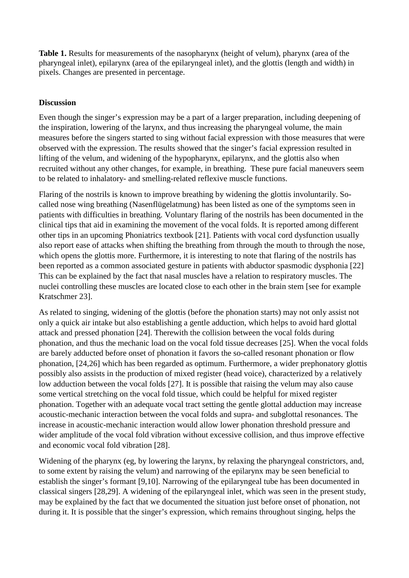**Table 1.** Results for measurements of the nasopharynx (height of velum), pharynx (area of the pharyngeal inlet), epilarynx (area of the epilaryngeal inlet), and the glottis (length and width) in pixels. Changes are presented in percentage.

#### **Discussion**

Even though the singer's expression may be a part of a larger preparation, including deepening of the inspiration, lowering of the larynx, and thus increasing the pharyngeal volume, the main measures before the singers started to sing without facial expression with those measures that were observed with the expression. The results showed that the singer's facial expression resulted in lifting of the velum, and widening of the hypopharynx, epilarynx, and the glottis also when recruited without any other changes, for example, in breathing. These pure facial maneuvers seem to be related to inhalatory- and smelling-related reflexive muscle functions.

Flaring of the nostrils is known to improve breathing by widening the glottis involuntarily. Socalled nose wing breathing (Nasenflügelatmung) has been listed as one of the symptoms seen in patients with difficulties in breathing. Voluntary flaring of the nostrils has been documented in the clinical tips that aid in examining the movement of the vocal folds. It is reported among different other tips in an upcoming Phoniatrics textbook [21]. Patients with vocal cord dysfunction usually also report ease of attacks when shifting the breathing from through the mouth to through the nose, which opens the glottis more. Furthermore, it is interesting to note that flaring of the nostrils has been reported as a common associated gesture in patients with abductor spasmodic dysphonia [22] This can be explained by the fact that nasal muscles have a relation to respiratory muscles. The nuclei controlling these muscles are located close to each other in the brain stem [see for example Kratschmer 23].

As related to singing, widening of the glottis (before the phonation starts) may not only assist not only a quick air intake but also establishing a gentle adduction, which helps to avoid hard glottal attack and pressed phonation [24]. Therewith the collision between the vocal folds during phonation, and thus the mechanic load on the vocal fold tissue decreases [25]. When the vocal folds are barely adducted before onset of phonation it favors the so-called resonant phonation or flow phonation, [24,26] which has been regarded as optimum. Furthermore, a wider prephonatory glottis possibly also assists in the production of mixed register (head voice), characterized by a relatively low adduction between the vocal folds [27]. It is possible that raising the velum may also cause some vertical stretching on the vocal fold tissue, which could be helpful for mixed register phonation. Together with an adequate vocal tract setting the gentle glottal adduction may increase acoustic-mechanic interaction between the vocal folds and supra- and subglottal resonances. The increase in acoustic-mechanic interaction would allow lower phonation threshold pressure and wider amplitude of the vocal fold vibration without excessive collision, and thus improve effective and economic vocal fold vibration [28].

Widening of the pharynx (eg, by lowering the larynx, by relaxing the pharyngeal constrictors, and, to some extent by raising the velum) and narrowing of the epilarynx may be seen beneficial to establish the singer's formant [9,10]. Narrowing of the epilaryngeal tube has been documented in classical singers [28,29]. A widening of the epilaryngeal inlet, which was seen in the present study, may be explained by the fact that we documented the situation just before onset of phonation, not during it. It is possible that the singer's expression, which remains throughout singing, helps the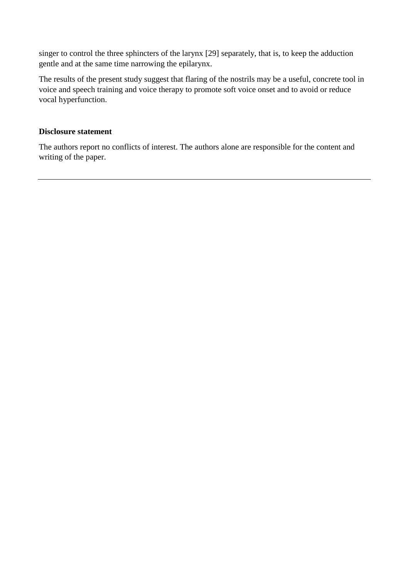singer to control the three sphincters of the larynx [29] separately, that is, to keep the adduction gentle and at the same time narrowing the epilarynx.

The results of the present study suggest that flaring of the nostrils may be a useful, concrete tool in voice and speech training and voice therapy to promote soft voice onset and to avoid or reduce vocal hyperfunction.

### **Disclosure statement**

The authors report no conflicts of interest. The authors alone are responsible for the content and writing of the paper.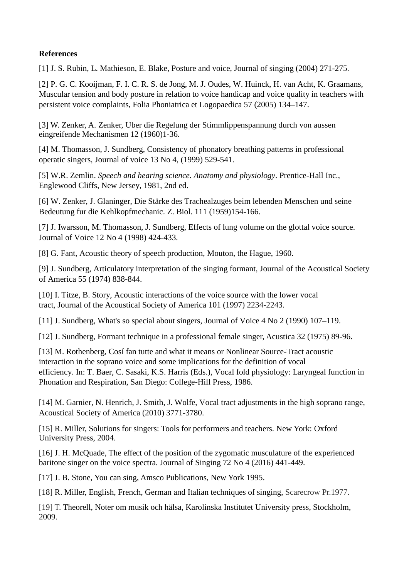## **References**

[1] J. S. Rubin, L. Mathieson, E. Blake, Posture and voice, Journal of singing (2004) 271-275.

[2] P. G. C. Kooijman, F. I. C. R. S. de Jong, M. J. Oudes, W. Huinck, H. van Acht, K. Graamans, Muscular tension and body posture in relation to voice handicap and voice quality in teachers with persistent voice complaints, Folia Phoniatrica et Logopaedica 57 (2005) 134–147.

[3] W. Zenker, A. Zenker, Uber die Regelung der Stimmlippenspannung durch von aussen eingreifende Mechanismen 12 (1960)1-36.

[4] M. Thomasson, J. Sundberg, Consistency of phonatory breathing patterns in professional operatic singers, Journal of voice 13 No 4, (1999) 529-541.

[5] W.R. Zemlin. *Speech and hearing science. Anatomy and physiology*. Prentice-Hall Inc., Englewood Cliffs, New Jersey, 1981, 2nd ed.

[6] W. Zenker, J. Glaninger, Die Stärke des Trachealzuges beim lebenden Menschen und seine Bedeutung fur die Kehlkopfmechanic. Z. Biol. 111 (1959)154-166.

[7] J. Iwarsson, M. Thomasson, J. Sundberg, Effects of lung volume on the glottal voice source. Journal of Voice 12 No 4 (1998) 424-433.

[8] G. Fant, Acoustic theory of speech production, Mouton, the Hague, 1960.

[9] J. Sundberg, Articulatory interpretation of the singing formant, Journal of the Acoustical Society of America 55 (1974) 838-844.

[10] I. Titze, B. Story, Acoustic interactions of the voice source with the lower vocal tract, Journal of the Acoustical Society of America 101 (1997) 2234-2243.

[11] J. Sundberg, What's so special about singers, Journal of Voice 4 No 2 (1990) 107–119.

[12] J. Sundberg, Formant technique in a professional female singer, Acustica 32 (1975) 89-96.

[13] M. Rothenberg, Cosí fan tutte and what it means or Nonlinear Source-Tract acoustic interaction in the soprano voice and some implications for the definition of vocal efficiency. In: T. Baer, C. Sasaki, K.S. Harris (Eds.), Vocal fold physiology: Laryngeal function in Phonation and Respiration, San Diego: College-Hill Press, 1986.

[14] M. Garnier, N. Henrich, J. Smith, J. Wolfe, Vocal tract adjustments in the high soprano range, Acoustical Society of America (2010) 3771-3780.

[15] R. Miller, Solutions for singers: Tools for performers and teachers. New York: Oxford University Press, 2004.

[16] J. H. McQuade, The effect of the position of the zygomatic musculature of the experienced baritone singer on the voice spectra. Journal of Singing 72 No 4 (2016) 441-449.

[17] J. B. Stone, You can sing, Amsco Publications, New York 1995.

[18] R. Miller, English, French, German and Italian techniques of singing, Scarecrow Pr.1977.

[19] T. Theorell, Noter om musik och hälsa, Karolinska Institutet University press, Stockholm, 2009.